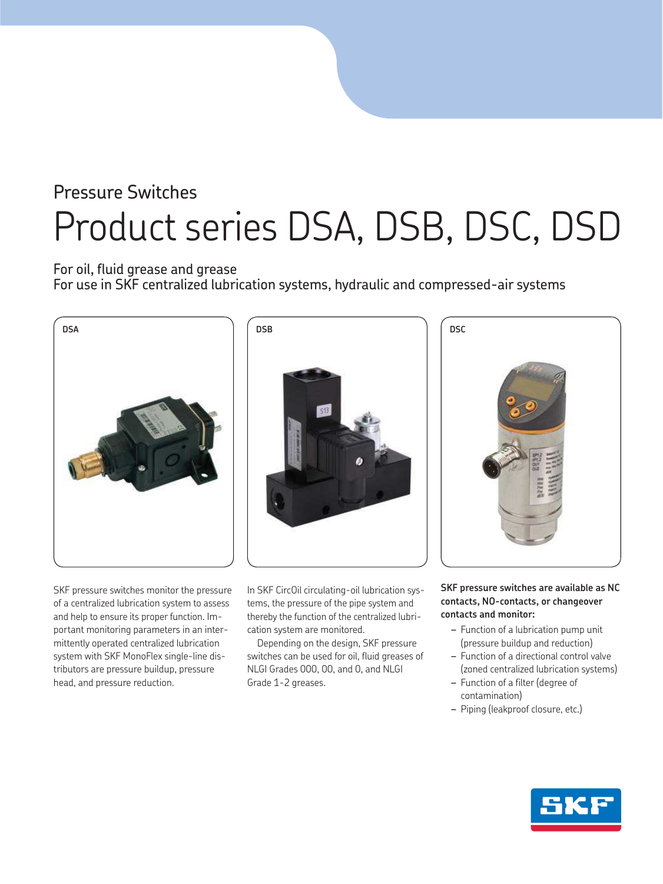# Pressure Switches Product series DSA, DSB, DSC, DSD

### For oil, fluid grease and grease

For use in SKF centralized lubrication systems, hydraulic and compressed-air systems



SKF pressure switches monitor the pressure of a centralized lubrication system to assess and help to ensure its proper function. Important monitoring parameters in an intermittently operated centralized lubrication system with SKF MonoFlex single-line distributors are pressure buildup, pressure head, and pressure reduction.

In SKF CircOil circulating-oil lubrication systems, the pressure of the pipe system and thereby the function of the centralized lubrication system are monitored.

Depending on the design, SKF pressure switches can be used for oil, fluid greases of NLGI Grades 000, 00, and 0, and NLGI Grade 1-2 greases.

#### **SKF pressure switches are available as NC contacts, NO-contacts, or changeover contacts and monitor:**

- *–* Function of a lubrication pump unit (pressure buildup and reduction)
- *–* Function of a directional control valve (zoned centralized lubrication systems)
- *–* Function of a filter (degree of contamination)
- *–* Piping (leakproof closure, etc.)

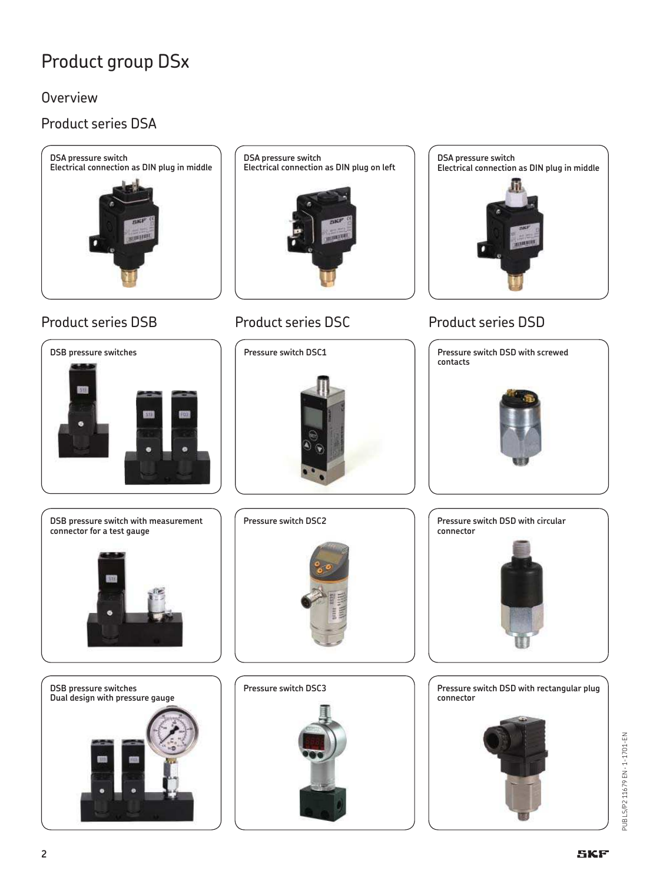## Product group DSx

Overview

## Product series DSA



## Product series DSB Product series DSC Product series DSD

**DSB pressure switches**

**DSA pressure switch Electrical connection as DIN plug on left**



**Pressure switch DSC1**





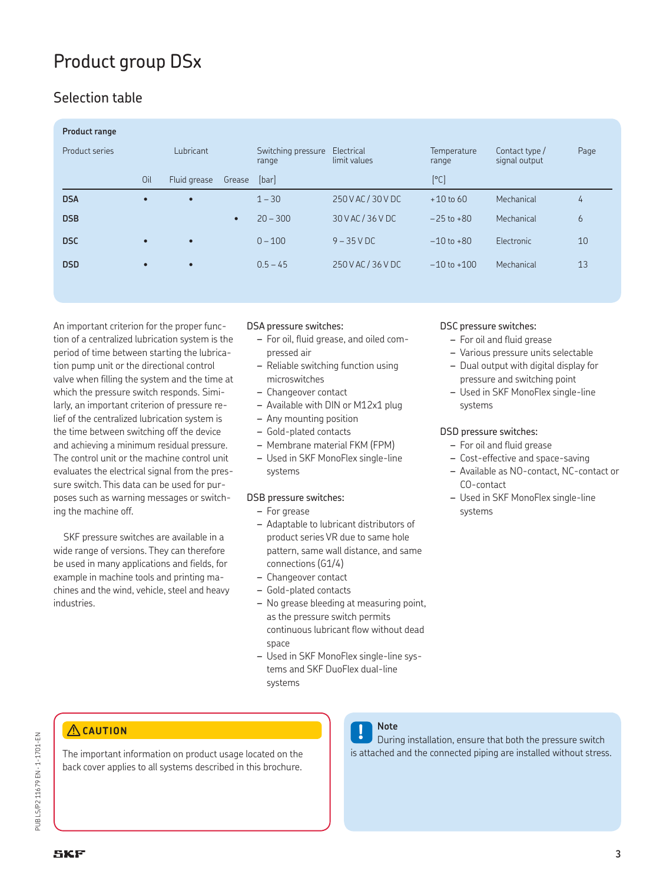## Product group DSx

## Selection table

| <b>Product range</b> |           |              |           |                             |                            |                      |                                 |      |
|----------------------|-----------|--------------|-----------|-----------------------------|----------------------------|----------------------|---------------------------------|------|
| Product series       |           | Lubricant    |           | Switching pressure<br>range | Electrical<br>limit values | Temperature<br>range | Contact type /<br>signal output | Page |
|                      | Oil       | Fluid grease | Grease    | [bar]                       |                            | [°C]                 |                                 |      |
| <b>DSA</b>           | $\bullet$ | $\bullet$    |           | $1 - 30$                    | 250 V AC / 30 V DC         | $+10$ to 60          | Mechanical                      | 4    |
| <b>DSB</b>           |           |              | $\bullet$ | $20 - 300$                  | 30 V AC / 36 V DC          | $-25$ to $+80$       | Mechanical                      | 6    |
| <b>DSC</b>           | $\bullet$ |              |           | $0 - 100$                   | $9 - 35$ V DC              | $-10$ to $+80$       | Electronic                      | 10   |
| <b>DSD</b>           | $\bullet$ | $\bullet$    |           | $0.5 - 45$                  | 250 V AC / 36 V DC         | $-10$ to $+100$      | Mechanical                      | 13   |

An important criterion for the proper function of a centralized lubrication system is the period of time between starting the lubrication pump unit or the directional control valve when filling the system and the time at which the pressure switch responds. Similarly, an important criterion of pressure relief of the centralized lubrication system is the time between switching off the device and achieving a minimum residual pressure. The control unit or the machine control unit evaluates the electrical signal from the pressure switch. This data can be used for purposes such as warning messages or switching the machine off.

SKF pressure switches are available in a wide range of versions. They can therefore be used in many applications and fields, for example in machine tools and printing machines and the wind, vehicle, steel and heavy industries.

#### DSA pressure switches:

- *–* For oil, fluid grease, and oiled compressed air
- *–* Reliable switching function using microswitches
- *–* Changeover contact
- *–* Available with DIN or M12x1 plug
- *–* Any mounting position
- *–* Gold-plated contacts
- *–* Membrane material FKM (FPM)
- *–* Used in SKF MonoFlex single-line systems

#### DSB pressure switches:

- *–* For grease
- *–* Adaptable to lubricant distributors of product series VR due to same hole pattern, same wall distance, and same connections (G1/4)
- *–* Changeover contact
- *–* Gold-plated contacts
- *–* No grease bleeding at measuring point, as the pressure switch permits continuous lubricant flow without dead space
- *–* Used in SKF MonoFlex single-line systems and SKF DuoFlex dual-line systems

#### DSC pressure switches:

- *–* For oil and fluid grease
- *–* Various pressure units selectable
- *–* Dual output with digital display for pressure and switching point
- *–* Used in SKF MonoFlex single-line systems

#### DSD pressure switches:

- *–* For oil and fluid grease
- *–* Cost-effective and space-saving
- *–* Available as NO-contact, NC-contact or CO-contact
- *–* Used in SKF MonoFlex single-line systems

#### **CAUTION**

The important information on product usage located on the back cover applies to all systems described in this brochure.



## **Note**

During installation, ensure that both the pressure switch is attached and the connected piping are installed without stress.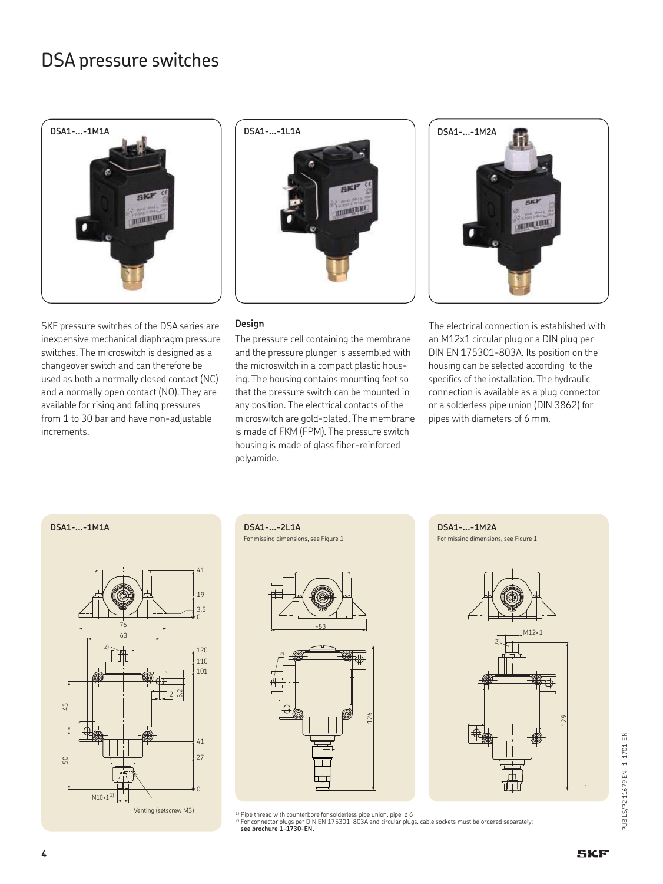

SKF pressure switches of the DSA series are inexpensive mechanical diaphragm pressure switches. The microswitch is designed as a changeover switch and can therefore be used as both a normally closed contact (NC) and a normally open contact (NO). They are available for rising and falling pressures from 1 to 30 bar and have non-adjustable increments.



#### **Design**

The pressure cell containing the membrane and the pressure plunger is assembled with the microswitch in a compact plastic housing. The housing contains mounting feet so that the pressure switch can be mounted in any position. The electrical contacts of the microswitch are gold-plated. The membrane is made of FKM (FPM). The pressure switch housing is made of glass fiber-reinforced polyamide.



The electrical connection is established with an M12x1 circular plug or a DIN plug per DIN EN 175301-803A. Its position on the housing can be selected according to the specifics of the installation. The hydraulic connection is available as a plug connector or a solderless pipe union (DIN 3862) for pipes with diameters of 6 mm.

#### **DSA1-...-1M1A DSA1-...-2L1A**



For missing dimensions, see Figure 1





<sup>1)</sup> Pipe thread with counterbore for solderless pipe union, pipe ø6<br><sup>2)</sup> For connector plugs per DIN EN 175301-803A and circular plugs, cable sockets must be ordered separately;<br>**5 see brochure 1-1730-EN.**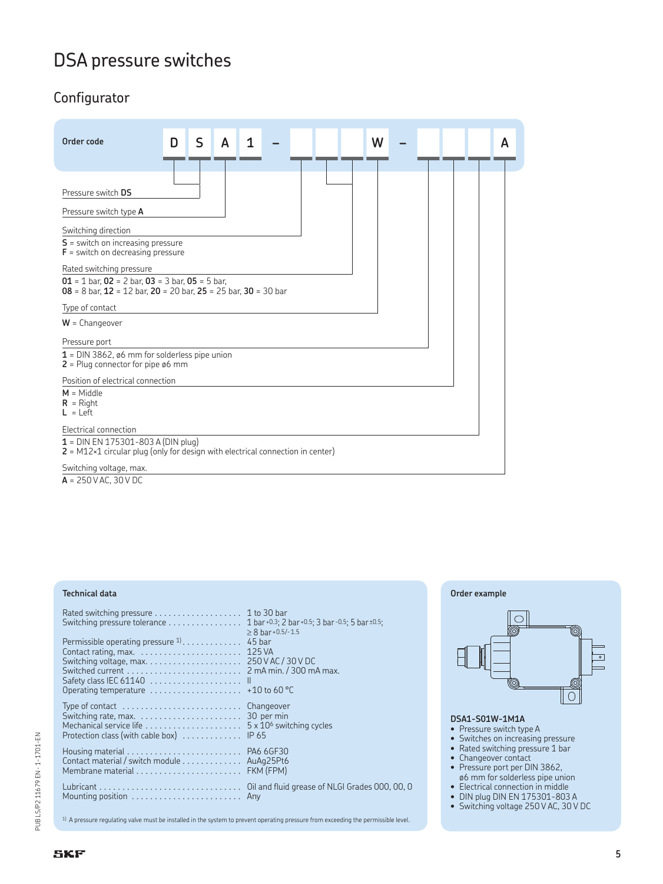## Configurator



**A** = 250 V AC, 30 V DC

#### **Technical data**

| Switching pressure tolerance 1 bar+0.3; 2 bar+0.5; 3 bar-0.5; 5 bar±0.5;                                                                      |                                  |
|-----------------------------------------------------------------------------------------------------------------------------------------------|----------------------------------|
| Permissible operating pressure $1, \ldots, \ldots, 45$ bar<br>Operating temperature $\ldots \ldots \ldots \ldots \ldots \ldots +$ 10 to 60 °C | $> 8$ bar+0.5/-1.5               |
| Mechanical service life<br>Protection class (with cable box)  IP 65                                                                           | $5 \times 10^6$ switching cycles |
| Contact material / switch module AuAg25Pt6                                                                                                    |                                  |
|                                                                                                                                               |                                  |

#### 1) A pressure regulating valve must be installed in the system to prevent operating pressure from exceeding the permissible level.





#### **DSA1-S01W-1M1A**

- Pressure switch type A
- Switches on increasing pressure
- Rated switching pressure 1 bar
- Changeover contact
- Pressure port per DIN 3862,
- ø6 mm for solderless pipe union • Electrical connection in middle
- DIN plug DIN EN 175301-803 A
- Switching voltage 250 V AC, 30 V DC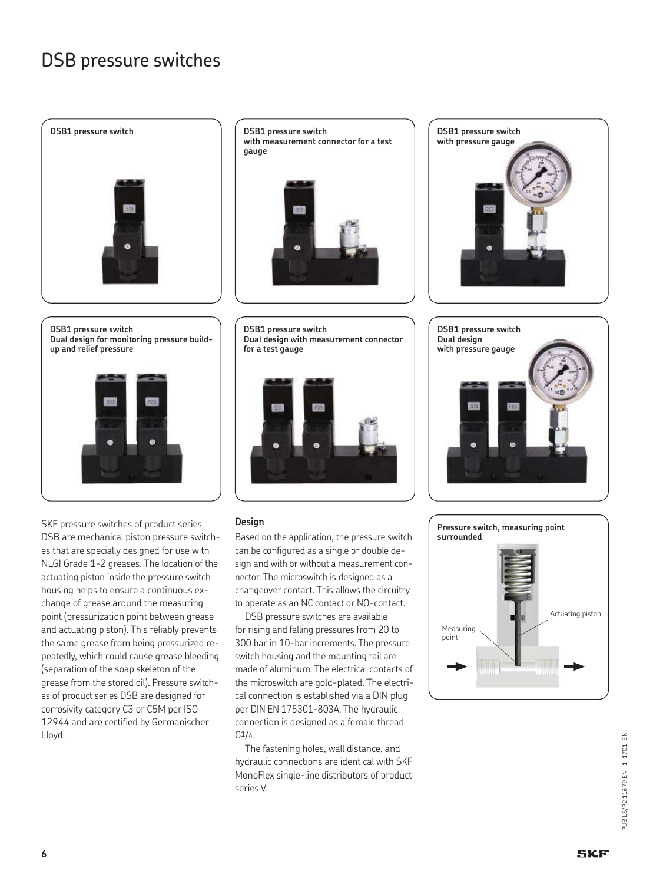

**DSB1 pressure switch Dual design for monitoring pressure buildup and relief pressure**



SKF pressure switches of product series DSB are mechanical piston pressure switches that are specially designed for use with NLGI Grade 1-2 greases. The location of the actuating piston inside the pressure switch housing helps to ensure a continuous exchange of grease around the measuring point (pressurization point between grease and actuating piston). This reliably prevents the same grease from being pressurized repeatedly, which could cause grease bleeding (separation of the soap skeleton of the grease from the stored oil). Pressure switches of product series DSB are designed for corrosivity category C3 or C5M per ISO 12944 and are certified by Germanischer Lloyd.

**DSB1 pressure switch with measurement connector for a test gauge**



**DSB1 pressure switch Dual design with measurement connector for a test gauge**



#### **Design**

Based on the application, the pressure switch can be configured as a single or double design and with or without a measurement connector. The microswitch is designed as a changeover contact. This allows the circuitry to operate as an NC contact or NO-contact.

DSB pressure switches are available for rising and falling pressures from 20 to 300 bar in 10-bar increments. The pressure switch housing and the mounting rail are made of aluminum. The electrical contacts of the microswitch are gold-plated. The electrical connection is established via a DIN plug per DIN EN 175301-803A. The hydraulic connection is designed as a female thread  $G_1/4.$ 

The fastening holes, wall distance, and hydraulic connections are identical with SKF MonoFlex single-line distributors of product series V.





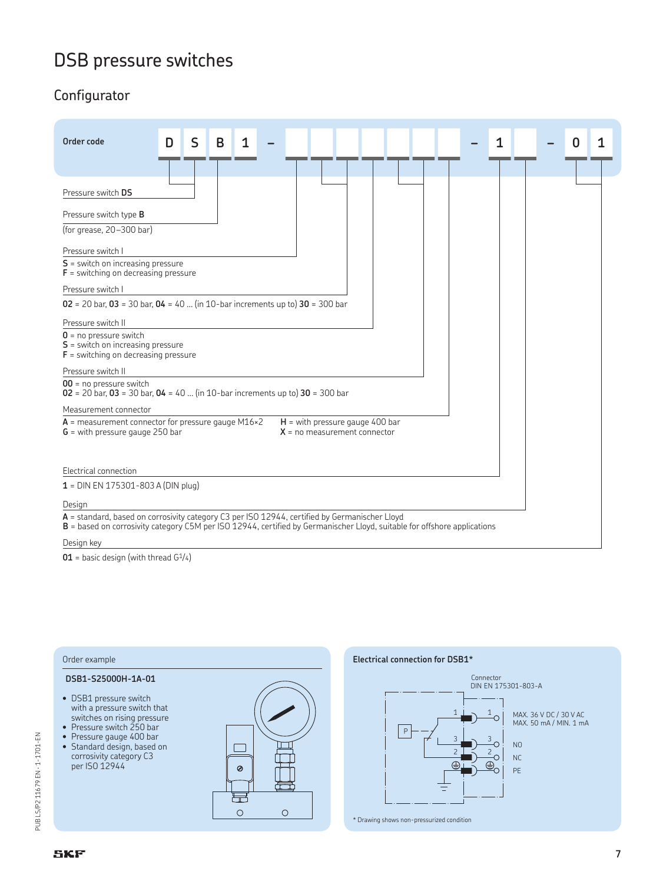## Configurator

| Order code<br>S<br>1<br>D<br>B<br>1                                                                                                                                                                                                                                                                                                                           |  |
|---------------------------------------------------------------------------------------------------------------------------------------------------------------------------------------------------------------------------------------------------------------------------------------------------------------------------------------------------------------|--|
| Pressure switch DS                                                                                                                                                                                                                                                                                                                                            |  |
| Pressure switch type B<br>(for grease, 20-300 bar)<br>Pressure switch I<br>$S$ = switch on increasing pressure<br>$F =$ switching on decreasing pressure<br>Pressure switch I<br>$02 = 20$ bar, $03 = 30$ bar, $04 = 40$ (in 10-bar increments up to) $30 = 300$ bar<br>Pressure switch II<br>$0 = no pressure switch$<br>$S$ = switch on increasing pressure |  |
| $F$ = switching on decreasing pressure<br>Pressure switch II                                                                                                                                                                                                                                                                                                  |  |
| $00$ = no pressure switch<br>$02 = 20$ bar, $03 = 30$ bar, $04 = 40$ (in 10-bar increments up to) $30 = 300$ bar                                                                                                                                                                                                                                              |  |
| Measurement connector                                                                                                                                                                                                                                                                                                                                         |  |
| $A$ = measurement connector for pressure gauge M16×2<br>$H =$ with pressure gauge 400 bar<br>$G$ = with pressure gauge 250 bar<br>$X = no measurement connector$                                                                                                                                                                                              |  |
| Electrical connection                                                                                                                                                                                                                                                                                                                                         |  |
| $1 =$ DIN EN 175301-803 A (DIN plug)                                                                                                                                                                                                                                                                                                                          |  |
| Design                                                                                                                                                                                                                                                                                                                                                        |  |
| A = standard, based on corrosivity category C3 per ISO 12944, certified by Germanischer Lloyd<br><b>B</b> = based on corrosivity category C5M per ISO 12944, certified by Germanischer Lloyd, suitable for offshore applications                                                                                                                              |  |
| Design key                                                                                                                                                                                                                                                                                                                                                    |  |

 $\mathbf{1}$ 

 $\mathbf{1}$ 

 $\Omega$ 

 $\overline{\phantom{0}}$ 

Connector<br>DIN EN 175301-803-A

 $N<sub>0</sub>$ 

 $NC$ PE

MAX. 36 V DC / 30 V AC<br>MAX. 50 mA / MIN. 1 mA

3 2 LŠ 2 3

**01** = basic design (with thread G<sup>1</sup>/4)

#### **Electrical connection for DSB1\*** Order example **DSB1-S25000H-1A-01** • DSB1 pressure switch with a pressure switch that switches on rising pressure • Pressure switch 250 bar  $\boxed{P}$ • Pressure gauge 400 bar  $\qquad \qquad \Box$ • Standard design, based on corrosivity category C3 per ISO 12944  $\circledcirc$ 量  $\circ$  $\bigcirc$ \* Drawing shows non-pressurized condition

# PUB LS/P2 11679 EN - 1-1701-EN PUB LS/P2 11679 EN · 1-1701-EN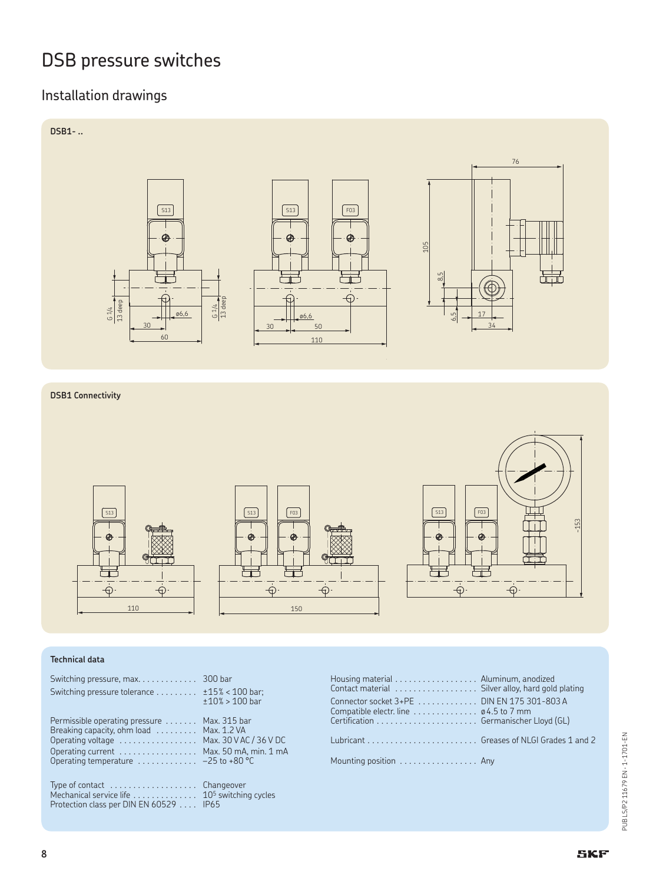## Installation drawings



#### **DSB1 Connectivity**



#### **Technical data**

| Switching pressure tolerance $\dots \dots$ $\pm 15\% < 100$ bar;                                                                    | $±10\%$ > 100 bar | Housing material Aluminum, anodized<br>Contact material  Silver alloy, hard gold pla<br>Connector socket 3+PE DIN EN 175 301-803 A<br>Compatible electr. line $\dots\dots\dots\dots$ $\varphi$ 4.5 to 7 mm |  |
|-------------------------------------------------------------------------------------------------------------------------------------|-------------------|------------------------------------------------------------------------------------------------------------------------------------------------------------------------------------------------------------|--|
| Permissible operating pressure  Max. 315 bar                                                                                        |                   |                                                                                                                                                                                                            |  |
| Breaking capacity, ohm load  Max. 1.2 VA<br>Operating voltage  Max. 30 V AC / 36 V DC                                               |                   |                                                                                                                                                                                                            |  |
| Operating current  Max. 50 mA, min. 1 mA<br>Operating temperature $\dots\dots\dots\dots -25$ to +80 °C                              |                   | Mounting position Any                                                                                                                                                                                      |  |
| Type of contact  Changeover<br>Mechanical service life  10 <sup>5</sup> switching cycles<br>Protection class per DIN EN 60529  IP65 |                   |                                                                                                                                                                                                            |  |

| Switching pressure, max. 300 bar<br>Switching pressure tolerance $\dots \dots$ $\pm$ 15% < 100 bar; | $±10\%$ > 100 bar | Housing material Aluminum, anodized<br>Connector socket 3+PE DIN EN 175 301-803 A<br>Compatible electr. line $\dots\dots\dots\dots$ $\emptyset$ 4.5 to 7 mm |  |
|-----------------------------------------------------------------------------------------------------|-------------------|-------------------------------------------------------------------------------------------------------------------------------------------------------------|--|
| Permissible operating pressure  Max. 315 bar<br>Breaking capacity, ohm load  Max. 1.2 VA            |                   |                                                                                                                                                             |  |
| Operating voltage  Max. 30 V AC / 36 V DC<br>Operating current Max. 50 mA, min. 1 mA                |                   |                                                                                                                                                             |  |
| Operating temperature $\ldots \ldots \ldots -25$ to +80 °C                                          |                   | Mounting position Any                                                                                                                                       |  |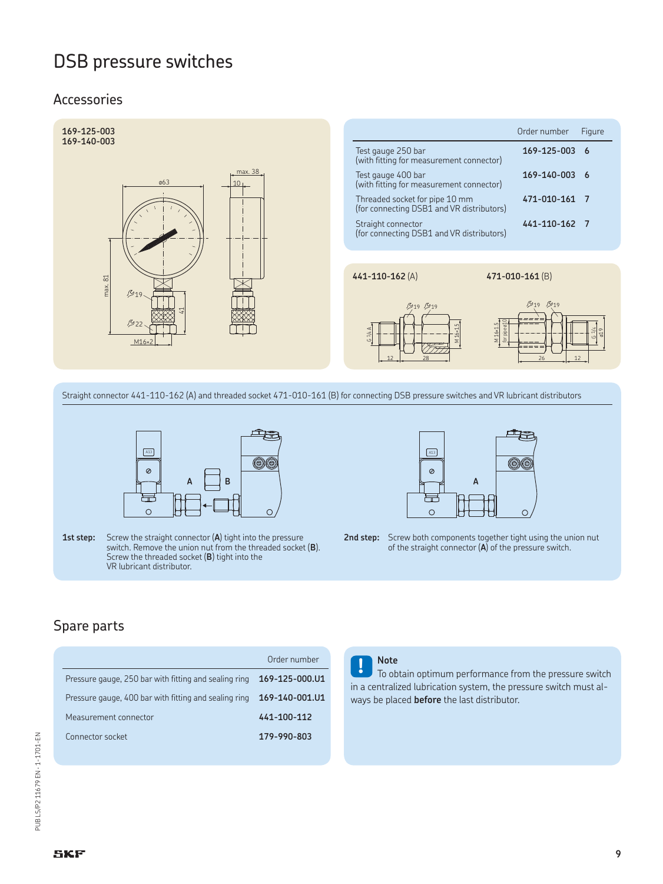### Accessories



Straight connector 441-110-162 (A) and threaded socket 471-010-161 (B) for connecting DSB pressure switches and VR lubricant distributors



1st step: Screw the straight connector (A) tight into the pressure switch. Remove the union nut from the threaded socket (**B**). Screw the threaded socket (**B**) tight into the VR lubricant distributor.



**2nd step:** Screw both components together tight using the union nut of the straight connector (**A**) of the pressure switch.

## Spare parts

|                                                       | Order number   |
|-------------------------------------------------------|----------------|
| Pressure gauge, 250 bar with fitting and sealing ring | 169-125-000.U1 |
| Pressure gauge, 400 bar with fitting and sealing ring | 169-140-001.U1 |
| Measurement connector                                 | 441-100-112    |
| Connector socket                                      | 179-990-803    |
|                                                       |                |

#### **Note**

**!** To obtain optimum performance from the pressure switch in a centralized lubrication system, the pressure switch must always be placed **before** the last distributor.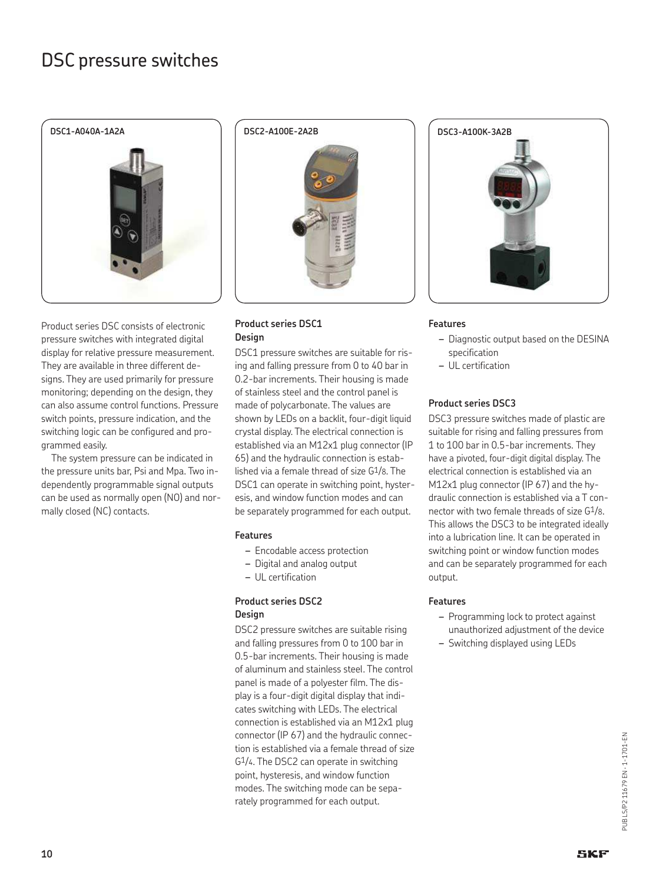

Product series DSC consists of electronic pressure switches with integrated digital display for relative pressure measurement. They are available in three different designs. They are used primarily for pressure monitoring; depending on the design, they can also assume control functions. Pressure switch points, pressure indication, and the switching logic can be configured and programmed easily.

The system pressure can be indicated in the pressure units bar, Psi and Mpa. Two independently programmable signal outputs can be used as normally open (NO) and normally closed (NC) contacts.



#### **Product series DSC1 Design**

DSC1 pressure switches are suitable for rising and falling pressure from 0 to 40 bar in 0.2-bar increments. Their housing is made of stainless steel and the control panel is made of polycarbonate. The values are shown by LEDs on a backlit, four-digit liquid crystal display. The electrical connection is established via an M12x1 plug connector (IP 65) and the hydraulic connection is established via a female thread of size G1/8. The DSC1 can operate in switching point, hysteresis, and window function modes and can be separately programmed for each output.

#### **Features**

- *–* Encodable access protection
- *–* Digital and analog output
- *–* UL certification

#### **Product series DSC2 Design**

DSC2 pressure switches are suitable rising and falling pressures from 0 to 100 bar in 0.5-bar increments. Their housing is made of aluminum and stainless steel. The control panel is made of a polyester film. The display is a four-digit digital display that indicates switching with LEDs. The electrical connection is established via an M12x1 plug connector (IP 67) and the hydraulic connection is established via a female thread of size G1/4. The DSC2 can operate in switching point, hysteresis, and window function modes. The switching mode can be separately programmed for each output.



#### **Features**

- *–* Diagnostic output based on the DESINA specification
- *–* UL certification

#### **Product series DSC3**

DSC3 pressure switches made of plastic are suitable for rising and falling pressures from 1 to 100 bar in 0.5-bar increments. They have a pivoted, four-digit digital display. The electrical connection is established via an M12x1 plug connector (IP 67) and the hydraulic connection is established via a T connector with two female threads of size G1/8. This allows the DSC3 to be integrated ideally into a lubrication line. It can be operated in switching point or window function modes and can be separately programmed for each output.

#### **Features**

- *–* Programming lock to protect against unauthorized adjustment of the device
- *–* Switching displayed using LEDs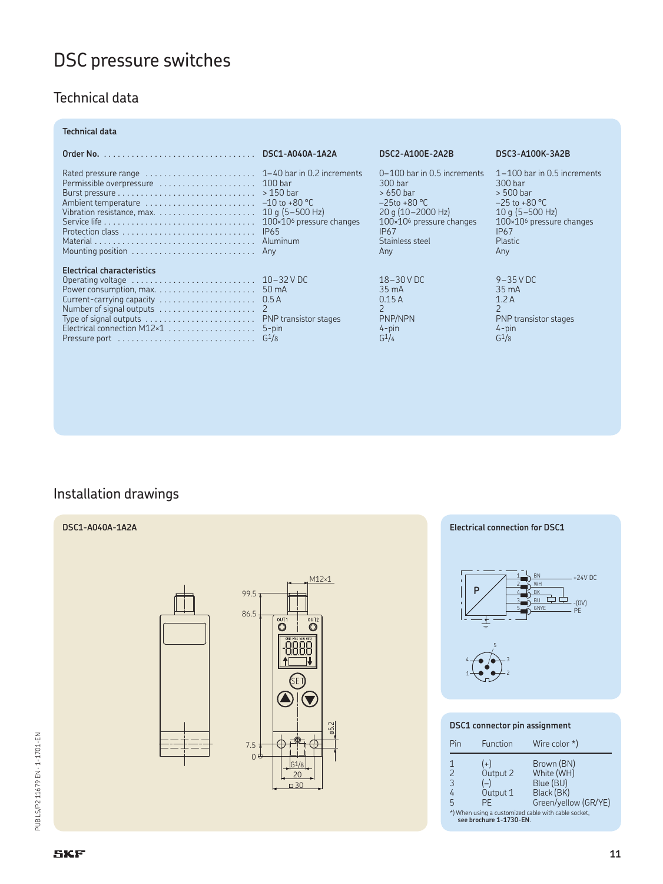## Technical data

#### **Technical data**

|                                                                                                                  | DSC2-A100E-2A2B                                                                                                                                                                | DSC3-A100K-3A2B                                                                                                                                                              |
|------------------------------------------------------------------------------------------------------------------|--------------------------------------------------------------------------------------------------------------------------------------------------------------------------------|------------------------------------------------------------------------------------------------------------------------------------------------------------------------------|
|                                                                                                                  | $0-100$ bar in 0.5 increments<br>300 bar<br>$>650$ bar<br>$-25t_0 + 80$ °C<br>$20$ a (10-2000 Hz)<br>$100\times10^6$ pressure changes<br><b>IP67</b><br>Stainless steel<br>Anv | $1-100$ bar in 0.5 increments<br>300 bar<br>$> 500$ bar<br>$-25$ to +80 °C<br>$10 a (5 - 500 Hz)$<br>$100\times106$ pressure changes<br><b>IP67</b><br><b>Plastic</b><br>Anv |
| <b>Electrical characteristics</b><br>Current-carrying capacity $\ldots \ldots \ldots \ldots \ldots \ldots$ 0.5 A | $18 - 30$ V DC<br>$35 \text{ mA}$<br>0.15A<br>$\mathcal{L}$<br>PNP/NPN<br>$4$ -pin<br>$G^1/4$                                                                                  | $9 - 35$ V DC<br>$35 \text{ mA}$<br>1.2A<br>PNP transistor stages<br>$4-pin$<br>$G^{1/8}$                                                                                    |

## Installation drawings

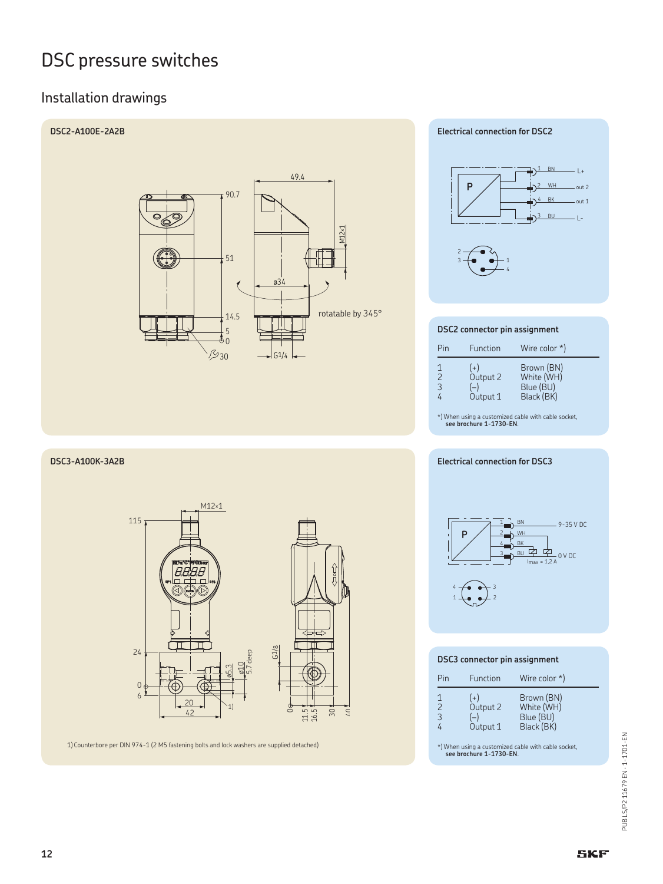## Installation drawings



**DSC3-A100K-3A2B**



1) Counterbore per DIN 974-1 (2 M5 fastening bolts and lock washers are supplied detached)

#### **Electrical connection for DSC2**



#### **DSC2 connector pin assignment**

| Pin                                   | Function                               | Wire color $*$ )                                    |
|---------------------------------------|----------------------------------------|-----------------------------------------------------|
| 1<br>$\overline{2}$<br>$\overline{3}$ | $(+)$<br>Output 2<br>$(-)$<br>Output 1 | Brown (BN)<br>White (WH)<br>Blue (BU)<br>Black (BK) |

\*) When using a customized cable with cable socket, **see brochure 1-1730-EN**.

#### **Electrical connection for DSC3**



#### **DSC3 connector pin assignment**

| Pin                      | Function                               | Wire color $*$ )                                    |
|--------------------------|----------------------------------------|-----------------------------------------------------|
| 1<br>$\overline{2}$<br>3 | $(+)$<br>Output 2<br>$(-)$<br>Output 1 | Brown (BN)<br>White (WH)<br>Blue (BU)<br>Black (BK) |

\*) When using a customized cable with cable socket, **see brochure 1-1730-EN**.

PUB LS/P2 11679 EN - 1-1701-EN PUB LS/P2 11679 EN · 1-1701-EN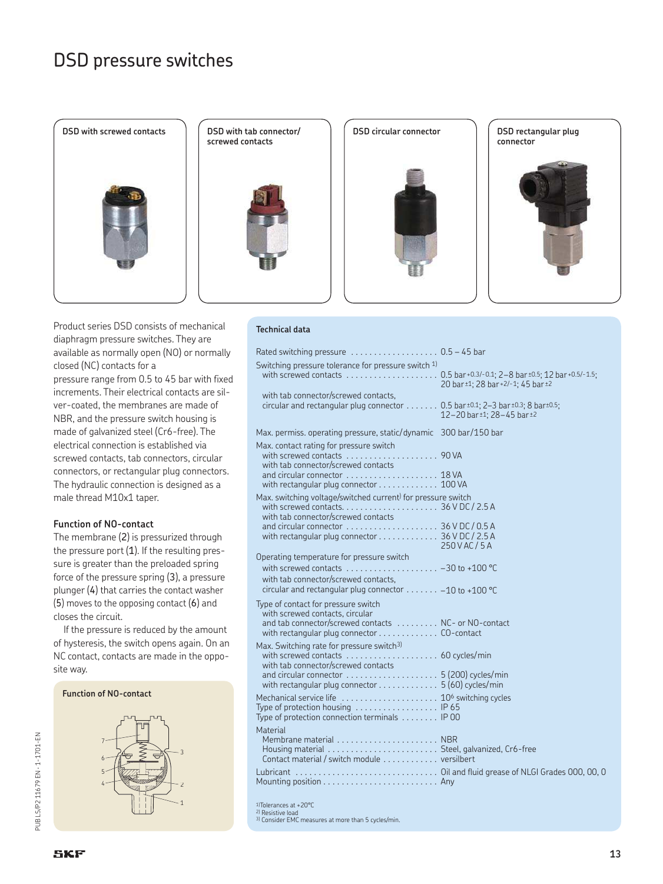

**DSD with tab connector/ screwed contacts**



**DSD circular connector**



**DSD rectangular plug connector**



Product series DSD consists of mechanical diaphragm pressure switches. They are available as normally open (NO) or normally closed (NC) contacts for a pressure range from 0.5 to 45 bar with fixed increments. Their electrical contacts are silver-coated, the membranes are made of NBR, and the pressure switch housing is made of galvanized steel (Cr6-free). The electrical connection is established via screwed contacts, tab connectors, circular connectors, or rectangular plug connectors. The hydraulic connection is designed as a male thread M10x1 taper.

#### **Function of NO-contact**

The membrane (2) is pressurized through the pressure port  $(1)$ . If the resulting pressure is greater than the preloaded spring force of the pressure spring (3), a pressure plunger (4) that carries the contact washer (5) moves to the opposing contact (6) and closes the circuit.

If the pressure is reduced by the amount of hysteresis, the switch opens again. On an NC contact, contacts are made in the opposite way.



#### **Technical data**

| Rated switching pressure $\dots\dots\dots\dots\dots\dots$ 0.5 – 45 bar                                                                                                                                                                    |                                    |
|-------------------------------------------------------------------------------------------------------------------------------------------------------------------------------------------------------------------------------------------|------------------------------------|
| Switching pressure tolerance for pressure switch <sup>1)</sup>                                                                                                                                                                            | 20 bar ±1; 28 bar +2/-1; 45 bar ±2 |
| with tab connector/screwed contacts,<br>circular and rectangular plug connector 0.5 bar ±0.1; 2-3 bar ±0.3; 8 bar±0.5;                                                                                                                    | 12-20 bar ±1; 28-45 bar ±2         |
| Max. permiss. operating pressure, static/dynamic 300 bar/150 bar                                                                                                                                                                          |                                    |
| Max. contact rating for pressure switch<br>with screwed contacts  90 VA                                                                                                                                                                   |                                    |
| with tab connector/screwed contacts<br>and circular connector  18 VA<br>with rectangular plug connector 100 VA                                                                                                                            |                                    |
| Max. switching voltage/switched current <sup>)</sup> for pressure switch                                                                                                                                                                  |                                    |
| with tab connector/screwed contacts<br>and circular connector $\dots\dots\dots\dots\dots\dots$ 36 V DC / 0.5 A<br>with rectangular plug connector 36 V DC / 2.5 A                                                                         | 250 V AC / 5 A                     |
| Operating temperature for pressure switch<br>with screwed contacts $\dots \dots \dots \dots \dots \dots -30$ to +100 °C<br>with tab connector/screwed contacts.<br>circular and rectangular plug connector $\ldots \ldots -10$ to +100 °C |                                    |
| Type of contact for pressure switch<br>with screwed contacts, circular<br>and tab connector/screwed contacts  NC- or NO-contact<br>with rectangular plug connector CO-contact                                                             |                                    |
| Max. Switching rate for pressure switch <sup>3)</sup><br>with tab connector/screwed contacts<br>with rectangular plug connector 5 (60) cycles/min                                                                                         |                                    |
| Type of protection housing $\ldots \ldots \ldots \ldots \ldots$ IP 65<br>Type of protection connection terminals $\ldots \ldots$ . IP 00                                                                                                  |                                    |
| Material<br>Contact material / switch module versilbert                                                                                                                                                                                   |                                    |
|                                                                                                                                                                                                                                           |                                    |
| <sup>1)</sup> Tolerances at +20°C<br><sup>2)</sup> Resistive load<br>3) Consider EMC measures at more than 5 cycles/min.                                                                                                                  |                                    |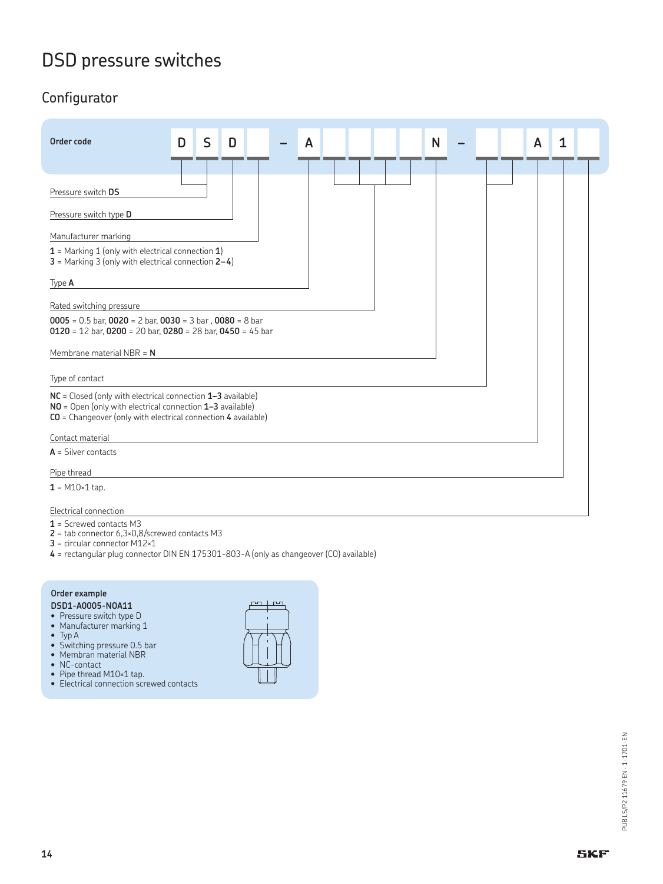## Configurator

| Order code                                                                                                                                                                                  | D | S | D | A |  | N |  | A | 1 |  |
|---------------------------------------------------------------------------------------------------------------------------------------------------------------------------------------------|---|---|---|---|--|---|--|---|---|--|
| Pressure switch DS                                                                                                                                                                          |   |   |   |   |  |   |  |   |   |  |
| Pressure switch type D                                                                                                                                                                      |   |   |   |   |  |   |  |   |   |  |
| Manufacturer marking                                                                                                                                                                        |   |   |   |   |  |   |  |   |   |  |
| $1$ = Marking 1 (only with electrical connection 1)<br>$3$ = Marking 3 (only with electrical connection $2-4$ )                                                                             |   |   |   |   |  |   |  |   |   |  |
| Type A                                                                                                                                                                                      |   |   |   |   |  |   |  |   |   |  |
| Rated switching pressure                                                                                                                                                                    |   |   |   |   |  |   |  |   |   |  |
| $0005 = 0.5$ bar, $0020 = 2$ bar, $0030 = 3$ bar, $0080 = 8$ bar<br>$0120 = 12$ bar, $0200 = 20$ bar, $0280 = 28$ bar, $0450 = 45$ bar                                                      |   |   |   |   |  |   |  |   |   |  |
| Membrane material NBR = $N$                                                                                                                                                                 |   |   |   |   |  |   |  |   |   |  |
| Type of contact                                                                                                                                                                             |   |   |   |   |  |   |  |   |   |  |
| NC = Closed (only with electrical connection 1-3 available)<br>NO = Open (only with electrical connection 1-3 available)<br>$CO =$ Changeover (only with electrical connection 4 available) |   |   |   |   |  |   |  |   |   |  |
| Contact material                                                                                                                                                                            |   |   |   |   |  |   |  |   |   |  |
| $A =$ Silver contacts                                                                                                                                                                       |   |   |   |   |  |   |  |   |   |  |
| Pipe thread                                                                                                                                                                                 |   |   |   |   |  |   |  |   |   |  |
| $1 = M10 \times 1$ tap.                                                                                                                                                                     |   |   |   |   |  |   |  |   |   |  |
| Electrical connection                                                                                                                                                                       |   |   |   |   |  |   |  |   |   |  |

**1** = Screwed contacts M3

- **2** = tab connector 6,3×0,8/screwed contacts M3
- **3** = circular connector M12×1
- **4** = rectangular plug connector DIN EN 175301-803-A (only as changeover (CO) available)

#### **Order example DSD1-A0005-NOA11**

- Pressure switch type D
- Manufacturer marking 1
- Typ A
- Switching pressure 0.5 bar
- Membran material NBR
- NC-contact
- Pipe thread M10×1 tap.
- Electrical connection screwed contacts

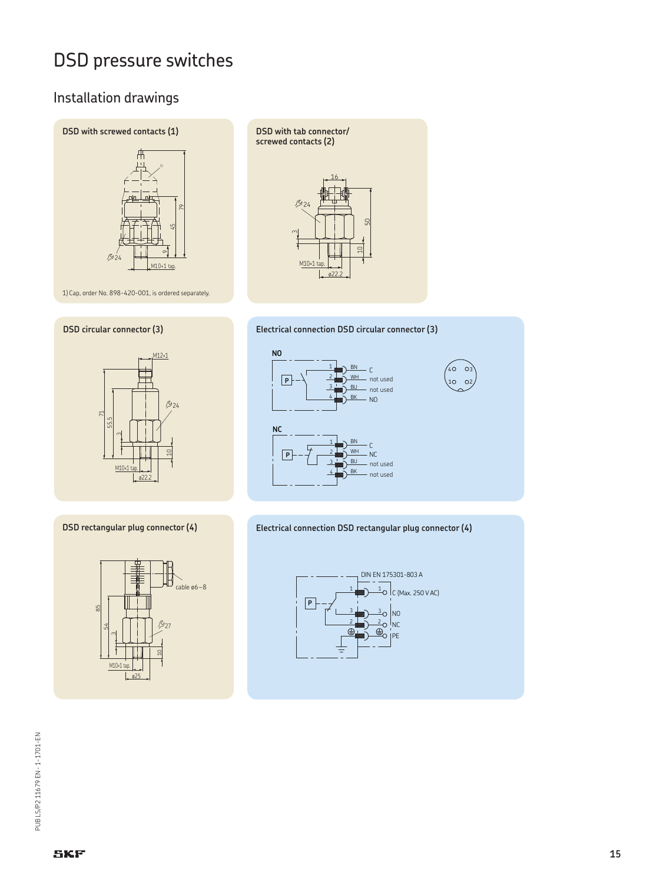## Installation drawings









#### **DSD rectangular plug connector (4)**



**DSD with tab connector/ screwed contacts (2)**





#### **Electrical connection DSD rectangular plug connector (4)**